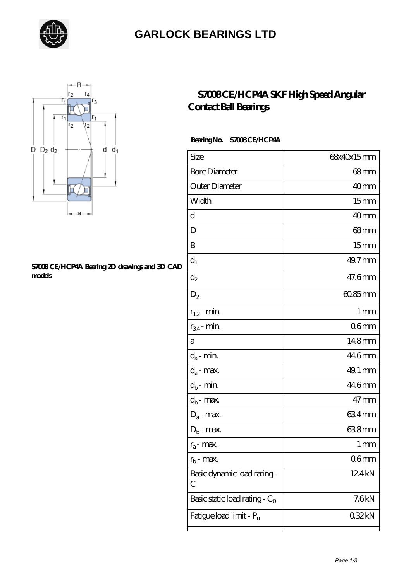

### **[GARLOCK BEARINGS LTD](https://letterstopriests.com)**



#### **[S7008 CE/HCP4A Bearing 2D drawings and 3D CAD](https://letterstopriests.com/pic-935185.html) [models](https://letterstopriests.com/pic-935185.html)**

### **[S7008 CE/HCP4A SKF High Speed Angular](https://letterstopriests.com/skf-bearing/s7008-ce-hcp4a.html) [Contact Ball Bearings](https://letterstopriests.com/skf-bearing/s7008-ce-hcp4a.html)**

### Bearing No. S7008 CE/HCP4A

| Size                             | 68x40x15mm         |
|----------------------------------|--------------------|
| <b>Bore Diameter</b>             | $68 \text{mm}$     |
| Outer Diameter                   | 40mm               |
| Width                            | 15 <sub>mm</sub>   |
| d                                | 40mm               |
| D                                | $68 \text{mm}$     |
| B                                | 15 <sub>mm</sub>   |
| $d_1$                            | 49.7mm             |
| $\mathrm{d}_2$                   | 47.6mm             |
| $D_2$                            | $6085$ mm          |
| $r_{1,2}$ - min.                 | 1 mm               |
| $r_{34}$ - min.                  | 06 <sub>mm</sub>   |
| а                                | 148mm              |
| $d_a$ - min.                     | 446mm              |
| $d_{\boldsymbol{a}}$ - max.      | 49.1 mm            |
| $d_b$ - min.                     | 44.6mm             |
| $d_b$ - $\max$                   | $47 \text{mm}$     |
| $D_a$ - max.                     | 634mm              |
| $D_b$ - max.                     | 638mm              |
| $r_a$ - max.                     | $1 \, \mathrm{mm}$ |
| $r_{\rm b}$ - max.               | 06mm               |
| Basic dynamic load rating-<br>С  | 124kN              |
| Basic static load rating - $C_0$ | 7.6kN              |
| Fatigue load limit - Pu          | 032kN              |
|                                  |                    |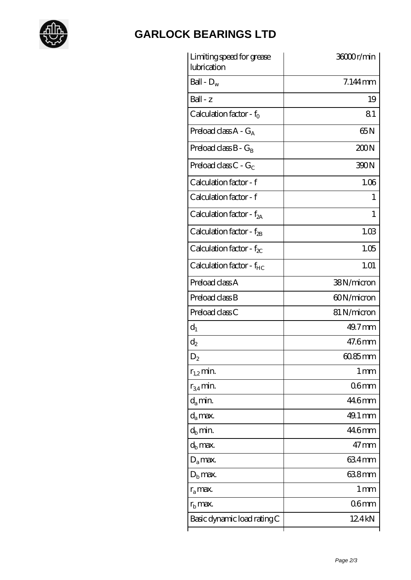

# **[GARLOCK BEARINGS LTD](https://letterstopriests.com)**

| Limiting speed for grease<br>lubrication | 36000r/min      |
|------------------------------------------|-----------------|
| Ball - $D_w$                             | $7.144$ mm      |
| $Ball - z$                               | 19              |
| Calculation factor - $f_0$               | 81              |
| Preload class $A - G_A$                  | 65N             |
| Preload class $B - G_B$                  | 200N            |
| Preload class C - $G_C$                  | 390N            |
| Calculation factor - f                   | 1.06            |
| Calculation factor - f                   | 1               |
| Calculation factor - $f_{2A}$            | 1               |
| Calculation factor - $f_{2B}$            | 1.03            |
| Calculation factor - $f_{\chi}$          | 1.05            |
| Calculation factor - f <sub>HC</sub>     | 1.01            |
| Preload class A                          | 38N/micron      |
| Preload class B                          | 60N/micron      |
| Preload class C                          | 81 N/micron     |
| $d_1$                                    | $49.7$ mm       |
| $d_2$                                    | 47.6mm          |
| $\mathrm{D}_2$                           | $6085$ mm       |
| $r_{1,2}$ min.                           | 1 <sub>mm</sub> |
| $r_{34}$ min.                            | 06mm            |
| $d_{a}$ min.                             | 44.6mm          |
| $d_a$ max.                               | 49.1 mm         |
| $d_h$ min.                               | 446mm           |
| $d_h$ max.                               | $47 \text{mm}$  |
| $D_a$ max.                               | 634mm           |
| $D_{\rm b}$ max.                         | 638mm           |
| $r_a$ max.                               | 1 mm            |
| $r_{\rm b}$ max.                         | 06mm            |
| Basic dynamic load rating C              | 124kN           |
|                                          |                 |